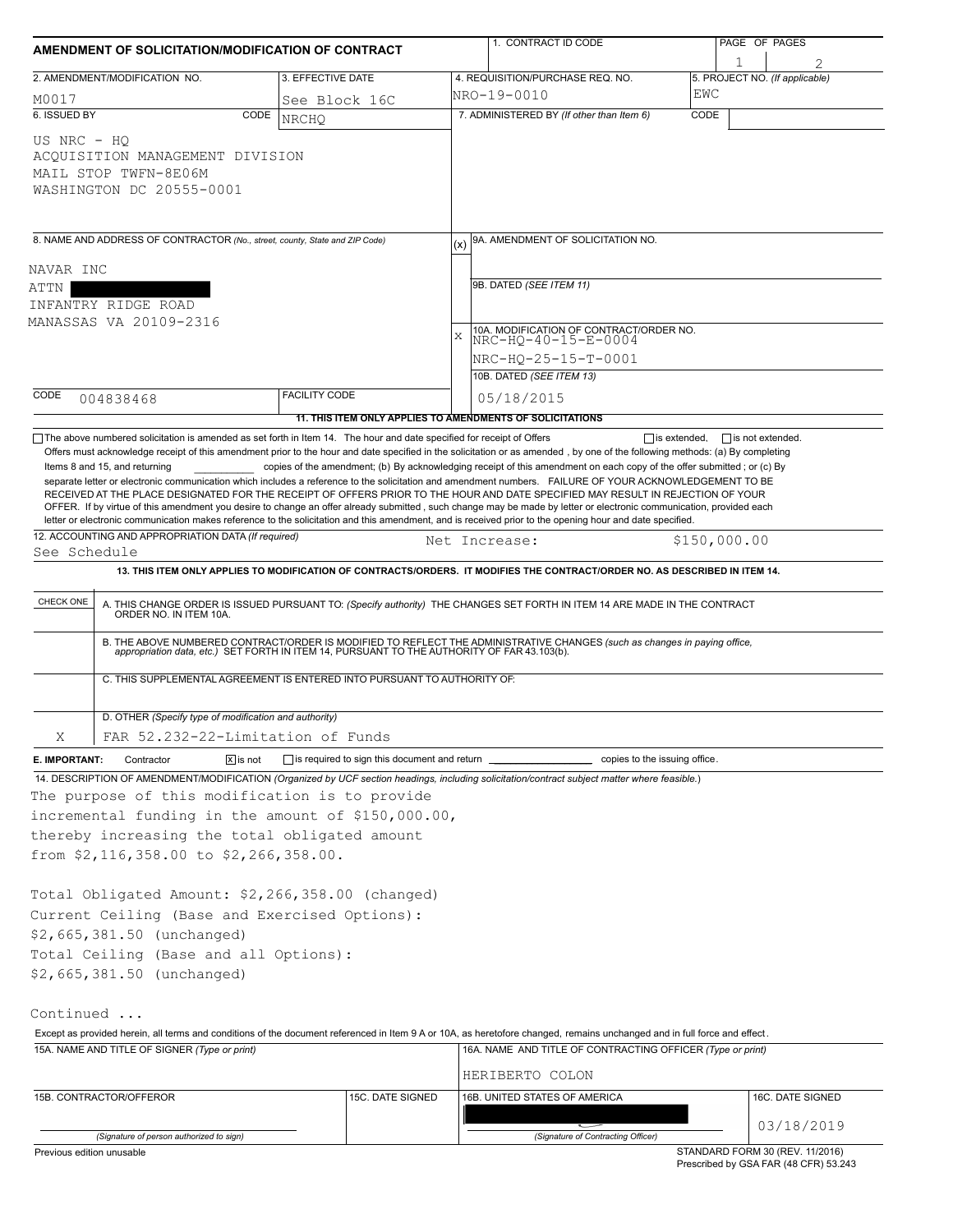|               | AMENDMENT OF SOLICITATION/MODIFICATION OF CONTRACT                                                                                               |                                                 | 1. CONTRACT ID CODE                                                                                                                                                                                                                                                                                                                                                                                                                                                                                                                                                                                                                                                                                                                                     | PAGE OF PAGES                       |  |  |  |  |  |
|---------------|--------------------------------------------------------------------------------------------------------------------------------------------------|-------------------------------------------------|---------------------------------------------------------------------------------------------------------------------------------------------------------------------------------------------------------------------------------------------------------------------------------------------------------------------------------------------------------------------------------------------------------------------------------------------------------------------------------------------------------------------------------------------------------------------------------------------------------------------------------------------------------------------------------------------------------------------------------------------------------|-------------------------------------|--|--|--|--|--|
|               | 2. AMENDMENT/MODIFICATION NO.                                                                                                                    | 3. EFFECTIVE DATE                               | 4. REQUISITION/PURCHASE REQ. NO.                                                                                                                                                                                                                                                                                                                                                                                                                                                                                                                                                                                                                                                                                                                        | 1<br>5. PROJECT NO. (If applicable) |  |  |  |  |  |
| M0017         |                                                                                                                                                  | See Block 16C                                   | NRO-19-0010                                                                                                                                                                                                                                                                                                                                                                                                                                                                                                                                                                                                                                                                                                                                             | EWC                                 |  |  |  |  |  |
| 6. ISSUED BY  | CODE                                                                                                                                             | <b>NRCHO</b>                                    | 7. ADMINISTERED BY (If other than Item 6)                                                                                                                                                                                                                                                                                                                                                                                                                                                                                                                                                                                                                                                                                                               | CODE                                |  |  |  |  |  |
| US NRC - HO   | ACQUISITION MANAGEMENT DIVISION<br>MAIL STOP TWFN-8E06M<br>WASHINGTON DC 20555-0001                                                              |                                                 |                                                                                                                                                                                                                                                                                                                                                                                                                                                                                                                                                                                                                                                                                                                                                         |                                     |  |  |  |  |  |
|               | 8. NAME AND ADDRESS OF CONTRACTOR (No., street, county, State and ZIP Code)                                                                      |                                                 | 9A. AMENDMENT OF SOLICITATION NO.                                                                                                                                                                                                                                                                                                                                                                                                                                                                                                                                                                                                                                                                                                                       |                                     |  |  |  |  |  |
| NAVAR INC     |                                                                                                                                                  |                                                 |                                                                                                                                                                                                                                                                                                                                                                                                                                                                                                                                                                                                                                                                                                                                                         |                                     |  |  |  |  |  |
| ATTN          |                                                                                                                                                  |                                                 | 9B. DATED (SEE ITEM 11)                                                                                                                                                                                                                                                                                                                                                                                                                                                                                                                                                                                                                                                                                                                                 |                                     |  |  |  |  |  |
|               | INFANTRY RIDGE ROAD                                                                                                                              |                                                 |                                                                                                                                                                                                                                                                                                                                                                                                                                                                                                                                                                                                                                                                                                                                                         |                                     |  |  |  |  |  |
|               | MANASSAS VA 20109-2316                                                                                                                           |                                                 |                                                                                                                                                                                                                                                                                                                                                                                                                                                                                                                                                                                                                                                                                                                                                         |                                     |  |  |  |  |  |
|               |                                                                                                                                                  |                                                 | 10A. MODIFICATION OF CONTRACT/ORDER NO.<br>$\mathbf{x}$<br>NRC-HQ-40-15-E-0004                                                                                                                                                                                                                                                                                                                                                                                                                                                                                                                                                                                                                                                                          |                                     |  |  |  |  |  |
|               |                                                                                                                                                  |                                                 | NRC-HQ-25-15-T-0001                                                                                                                                                                                                                                                                                                                                                                                                                                                                                                                                                                                                                                                                                                                                     |                                     |  |  |  |  |  |
|               |                                                                                                                                                  |                                                 | 10B. DATED (SEE ITEM 13)                                                                                                                                                                                                                                                                                                                                                                                                                                                                                                                                                                                                                                                                                                                                |                                     |  |  |  |  |  |
| CODE          | 004838468                                                                                                                                        | <b>FACILITY CODE</b>                            | 05/18/2015                                                                                                                                                                                                                                                                                                                                                                                                                                                                                                                                                                                                                                                                                                                                              |                                     |  |  |  |  |  |
|               |                                                                                                                                                  |                                                 | 11. THIS ITEM ONLY APPLIES TO AMENDMENTS OF SOLICITATIONS                                                                                                                                                                                                                                                                                                                                                                                                                                                                                                                                                                                                                                                                                               |                                     |  |  |  |  |  |
|               | Items 8 and 15, and returning                                                                                                                    |                                                 | copies of the amendment; (b) By acknowledging receipt of this amendment on each copy of the offer submitted; or (c) By<br>separate letter or electronic communication which includes a reference to the solicitation and amendment numbers. FAILURE OF YOUR ACKNOWLEDGEMENT TO BE<br>RECEIVED AT THE PLACE DESIGNATED FOR THE RECEIPT OF OFFERS PRIOR TO THE HOUR AND DATE SPECIFIED MAY RESULT IN REJECTION OF YOUR<br>OFFER. If by virtue of this amendment you desire to change an offer already submitted, such change may be made by letter or electronic communication, provided each<br>letter or electronic communication makes reference to the solicitation and this amendment, and is received prior to the opening hour and date specified. |                                     |  |  |  |  |  |
|               | 12. ACCOUNTING AND APPROPRIATION DATA (If required)                                                                                              |                                                 | Net Increase:                                                                                                                                                                                                                                                                                                                                                                                                                                                                                                                                                                                                                                                                                                                                           | \$150,000.00                        |  |  |  |  |  |
| See Schedule  |                                                                                                                                                  |                                                 |                                                                                                                                                                                                                                                                                                                                                                                                                                                                                                                                                                                                                                                                                                                                                         |                                     |  |  |  |  |  |
|               |                                                                                                                                                  |                                                 | 13. THIS ITEM ONLY APPLIES TO MODIFICATION OF CONTRACTS/ORDERS. IT MODIFIES THE CONTRACT/ORDER NO. AS DESCRIBED IN ITEM 14.                                                                                                                                                                                                                                                                                                                                                                                                                                                                                                                                                                                                                             |                                     |  |  |  |  |  |
| CHECK ONE     | A. THIS CHANGE ORDER IS ISSUED PURSUANT TO: (Specify authority) THE CHANGES SET FORTH IN ITEM 14 ARE MADE IN THE CONTRACT ORDER NO. IN ITEM 10A. |                                                 |                                                                                                                                                                                                                                                                                                                                                                                                                                                                                                                                                                                                                                                                                                                                                         |                                     |  |  |  |  |  |
|               |                                                                                                                                                  |                                                 | B. THE ABOVE NUMBERED CONTRACT/ORDER IS MODIFIED TO REFLECT THE ADMINISTRATIVE CHANGES (such as changes in paying office, appropriation data, etc.) SET FORTH IN ITEM 14, PURSUANT TO THE AUTHORITY OF FAR 43.103(b).                                                                                                                                                                                                                                                                                                                                                                                                                                                                                                                                   |                                     |  |  |  |  |  |
|               | C. THIS SUPPLEMENTAL AGREEMENT IS ENTERED INTO PURSUANT TO AUTHORITY OF:                                                                         |                                                 |                                                                                                                                                                                                                                                                                                                                                                                                                                                                                                                                                                                                                                                                                                                                                         |                                     |  |  |  |  |  |
|               | D. OTHER (Specify type of modification and authority)                                                                                            |                                                 |                                                                                                                                                                                                                                                                                                                                                                                                                                                                                                                                                                                                                                                                                                                                                         |                                     |  |  |  |  |  |
| Χ             | FAR 52.232-22-Limitation of Funds                                                                                                                |                                                 |                                                                                                                                                                                                                                                                                                                                                                                                                                                                                                                                                                                                                                                                                                                                                         |                                     |  |  |  |  |  |
| E. IMPORTANT: | $\sqrt{x}$ is not<br>Contractor                                                                                                                  | is required to sign this document and return __ | copies to the issuing office.                                                                                                                                                                                                                                                                                                                                                                                                                                                                                                                                                                                                                                                                                                                           |                                     |  |  |  |  |  |
|               |                                                                                                                                                  |                                                 | 14. DESCRIPTION OF AMENDMENT/MODIFICATION (Organized by UCF section headings, including solicitation/contract subject matter where feasible.)                                                                                                                                                                                                                                                                                                                                                                                                                                                                                                                                                                                                           |                                     |  |  |  |  |  |
|               | The purpose of this modification is to provide                                                                                                   |                                                 |                                                                                                                                                                                                                                                                                                                                                                                                                                                                                                                                                                                                                                                                                                                                                         |                                     |  |  |  |  |  |
|               | incremental funding in the amount of \$150,000.00,                                                                                               |                                                 |                                                                                                                                                                                                                                                                                                                                                                                                                                                                                                                                                                                                                                                                                                                                                         |                                     |  |  |  |  |  |
|               | thereby increasing the total obligated amount                                                                                                    |                                                 |                                                                                                                                                                                                                                                                                                                                                                                                                                                                                                                                                                                                                                                                                                                                                         |                                     |  |  |  |  |  |
|               | from \$2,116,358.00 to \$2,266,358.00.                                                                                                           |                                                 |                                                                                                                                                                                                                                                                                                                                                                                                                                                                                                                                                                                                                                                                                                                                                         |                                     |  |  |  |  |  |
|               | Total Obligated Amount: \$2,266,358.00 (changed)<br>Current Ceiling (Base and Exercised Options):                                                |                                                 |                                                                                                                                                                                                                                                                                                                                                                                                                                                                                                                                                                                                                                                                                                                                                         |                                     |  |  |  |  |  |
|               | \$2,665,381.50 (unchanged)                                                                                                                       |                                                 |                                                                                                                                                                                                                                                                                                                                                                                                                                                                                                                                                                                                                                                                                                                                                         |                                     |  |  |  |  |  |
|               | Total Ceiling (Base and all Options):                                                                                                            |                                                 |                                                                                                                                                                                                                                                                                                                                                                                                                                                                                                                                                                                                                                                                                                                                                         |                                     |  |  |  |  |  |
|               | \$2,665,381.50 (unchanged)                                                                                                                       |                                                 |                                                                                                                                                                                                                                                                                                                                                                                                                                                                                                                                                                                                                                                                                                                                                         |                                     |  |  |  |  |  |
| Continued     |                                                                                                                                                  |                                                 |                                                                                                                                                                                                                                                                                                                                                                                                                                                                                                                                                                                                                                                                                                                                                         |                                     |  |  |  |  |  |
|               |                                                                                                                                                  |                                                 | Except as provided herein, all terms and conditions of the document referenced in Item 9 A or 10A, as heretofore changed, remains unchanged and in full force and effect.                                                                                                                                                                                                                                                                                                                                                                                                                                                                                                                                                                               |                                     |  |  |  |  |  |
|               | 15A. NAME AND TITLE OF SIGNER (Type or print)                                                                                                    |                                                 | 16A. NAME AND TITLE OF CONTRACTING OFFICER (Type or print)<br>HERIBERTO COLON                                                                                                                                                                                                                                                                                                                                                                                                                                                                                                                                                                                                                                                                           |                                     |  |  |  |  |  |
|               | 15B. CONTRACTOR/OFFEROR                                                                                                                          | 15C. DATE SIGNED                                | 16B. UNITED STATES OF AMERICA                                                                                                                                                                                                                                                                                                                                                                                                                                                                                                                                                                                                                                                                                                                           | 16C. DATE SIGNED                    |  |  |  |  |  |
|               |                                                                                                                                                  |                                                 |                                                                                                                                                                                                                                                                                                                                                                                                                                                                                                                                                                                                                                                                                                                                                         |                                     |  |  |  |  |  |
|               | (Signature of person authorized to sign)                                                                                                         |                                                 | (Signature of Contracting Officer)                                                                                                                                                                                                                                                                                                                                                                                                                                                                                                                                                                                                                                                                                                                      | 03/18/2019                          |  |  |  |  |  |
|               | Previous edition unusable                                                                                                                        |                                                 |                                                                                                                                                                                                                                                                                                                                                                                                                                                                                                                                                                                                                                                                                                                                                         | STANDARD FORM 30 (REV. 11/2016)     |  |  |  |  |  |

Prescribed by GSA FAR (48 CFR) 53.243